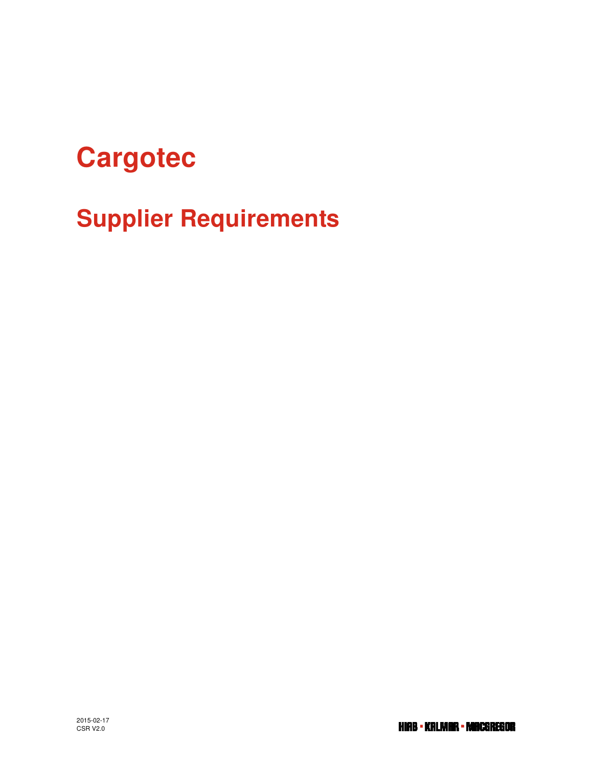# **Cargotec**

**Supplier Requirements**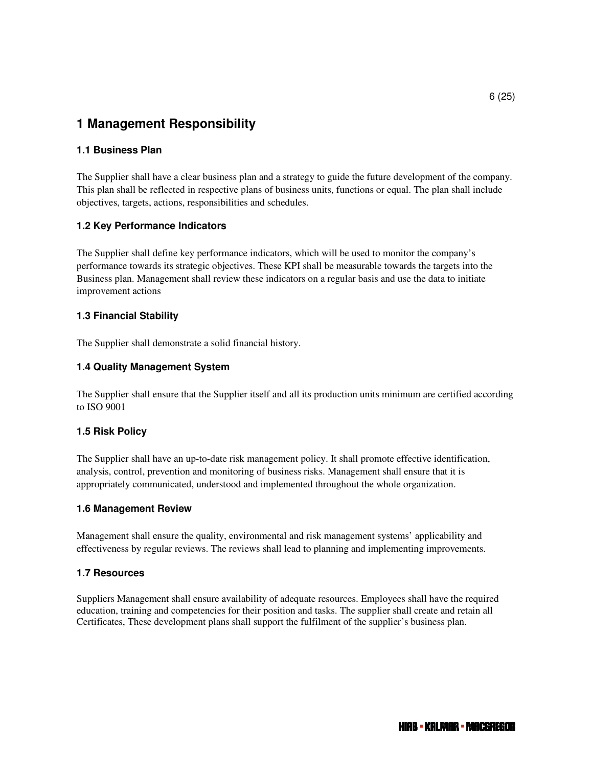# **1 Management Responsibility**

## **1.1 Business Plan**

The Supplier shall have a clear business plan and a strategy to guide the future development of the company. This plan shall be reflected in respective plans of business units, functions or equal. The plan shall include objectives, targets, actions, responsibilities and schedules.

#### **1.2 Key Performance Indicators**

The Supplier shall define key performance indicators, which will be used to monitor the company's performance towards its strategic objectives. These KPI shall be measurable towards the targets into the Business plan. Management shall review these indicators on a regular basis and use the data to initiate improvement actions

#### **1.3 Financial Stability**

The Supplier shall demonstrate a solid financial history.

#### **1.4 Quality Management System**

The Supplier shall ensure that the Supplier itself and all its production units minimum are certified according to ISO 9001

#### **1.5 Risk Policy**

The Supplier shall have an up-to-date risk management policy. It shall promote effective identification, analysis, control, prevention and monitoring of business risks. Management shall ensure that it is appropriately communicated, understood and implemented throughout the whole organization.

#### **1.6 Management Review**

Management shall ensure the quality, environmental and risk management systems' applicability and effectiveness by regular reviews. The reviews shall lead to planning and implementing improvements.

#### **1.7 Resources**

Suppliers Management shall ensure availability of adequate resources. Employees shall have the required education, training and competencies for their position and tasks. The supplier shall create and retain all Certificates, These development plans shall support the fulfilment of the supplier's business plan.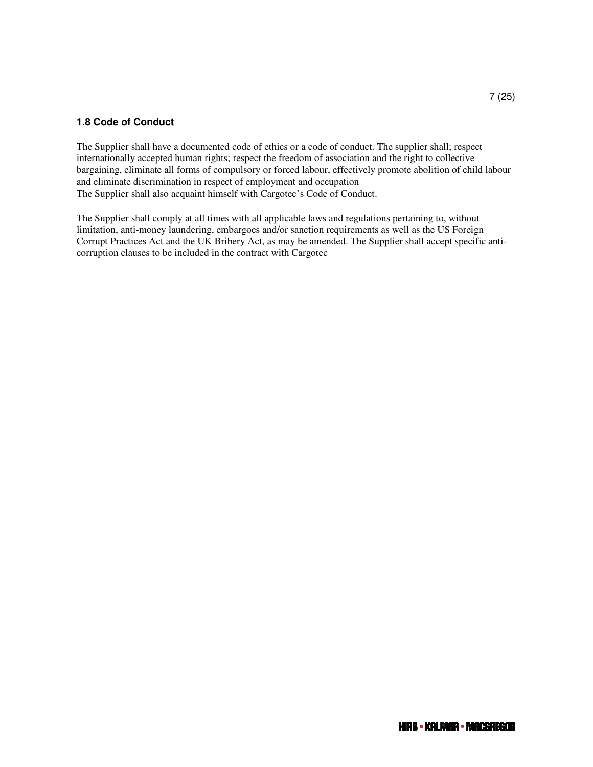#### **1.8 Code of Conduct**

The Supplier shall have a documented code of ethics or a code of conduct. The supplier shall; respect internationally accepted human rights; respect the freedom of association and the right to collective bargaining, eliminate all forms of compulsory or forced labour, effectively promote abolition of child labour and eliminate discrimination in respect of employment and occupation The Supplier shall also acquaint himself with Cargotec's Code of Conduct.

The Supplier shall comply at all times with all applicable laws and regulations pertaining to, without limitation, anti-money laundering, embargoes and/or sanction requirements as well as the US Foreign Corrupt Practices Act and the UK Bribery Act, as may be amended. The Supplier shall accept specific anticorruption clauses to be included in the contract with Cargotec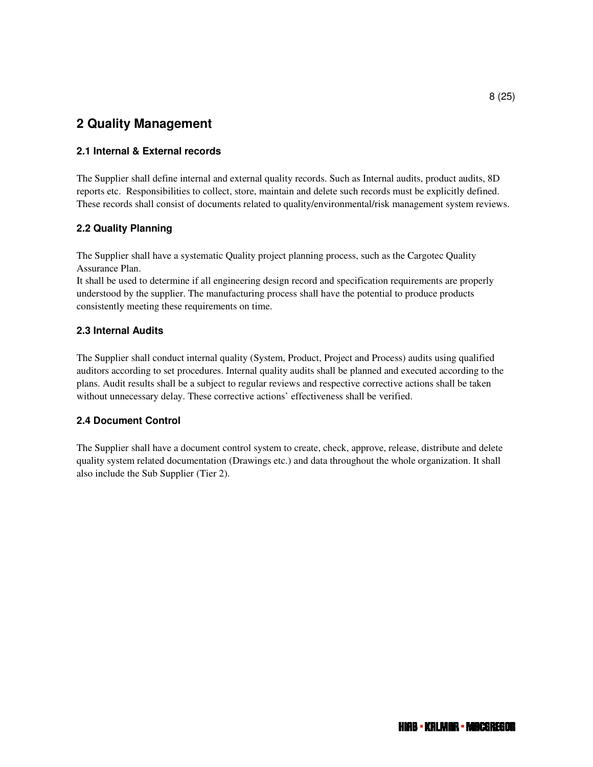# **2 Quality Management**

## **2.1 Internal & External records**

The Supplier shall define internal and external quality records. Such as Internal audits, product audits, 8D reports etc. Responsibilities to collect, store, maintain and delete such records must be explicitly defined. These records shall consist of documents related to quality/environmental/risk management system reviews.

#### **2.2 Quality Planning**

The Supplier shall have a systematic Quality project planning process, such as the Cargotec Quality Assurance Plan.

It shall be used to determine if all engineering design record and specification requirements are properly understood by the supplier. The manufacturing process shall have the potential to produce products consistently meeting these requirements on time.

## **2.3 Internal Audits**

The Supplier shall conduct internal quality (System, Product, Project and Process) audits using qualified auditors according to set procedures. Internal quality audits shall be planned and executed according to the plans. Audit results shall be a subject to regular reviews and respective corrective actions shall be taken without unnecessary delay. These corrective actions' effectiveness shall be verified.

#### **2.4 Document Control**

The Supplier shall have a document control system to create, check, approve, release, distribute and delete quality system related documentation (Drawings etc.) and data throughout the whole organization. It shall also include the Sub Supplier (Tier 2).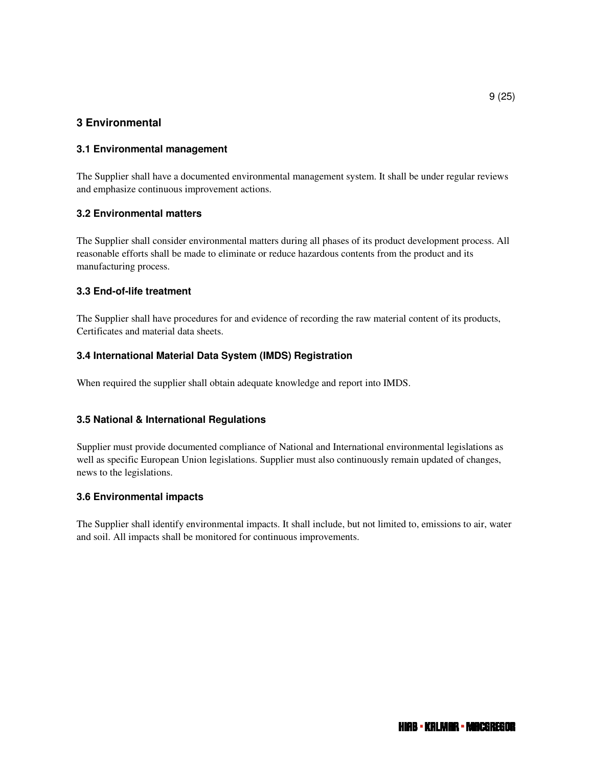## **3 Environmental**

## **3.1 Environmental management**

The Supplier shall have a documented environmental management system. It shall be under regular reviews and emphasize continuous improvement actions.

#### **3.2 Environmental matters**

The Supplier shall consider environmental matters during all phases of its product development process. All reasonable efforts shall be made to eliminate or reduce hazardous contents from the product and its manufacturing process.

#### **3.3 End-of-life treatment**

The Supplier shall have procedures for and evidence of recording the raw material content of its products, Certificates and material data sheets.

#### **3.4 International Material Data System (IMDS) Registration**

When required the supplier shall obtain adequate knowledge and report into IMDS.

#### **3.5 National & International Regulations**

Supplier must provide documented compliance of National and International environmental legislations as well as specific European Union legislations. Supplier must also continuously remain updated of changes, news to the legislations.

#### **3.6 Environmental impacts**

The Supplier shall identify environmental impacts. It shall include, but not limited to, emissions to air, water and soil. All impacts shall be monitored for continuous improvements.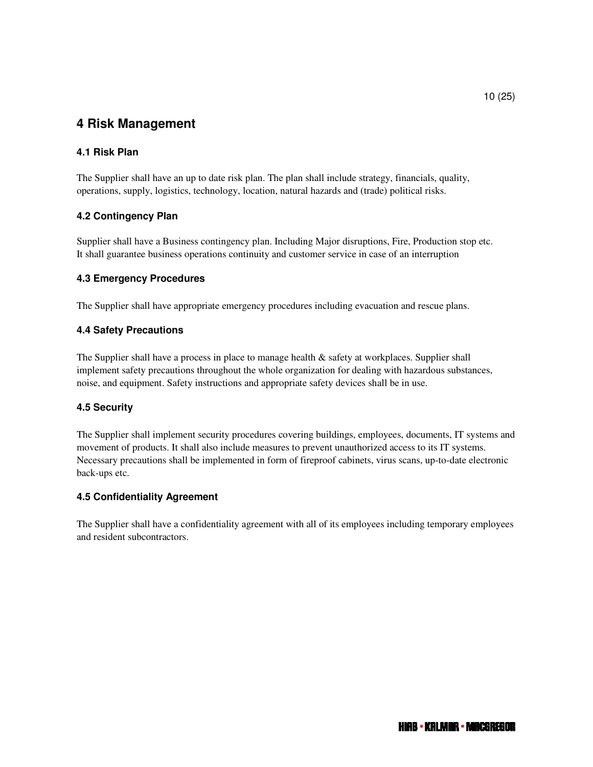# **4 Risk Management**

## **4.1 Risk Plan**

The Supplier shall have an up to date risk plan. The plan shall include strategy, financials, quality, operations, supply, logistics, technology, location, natural hazards and (trade) political risks.

## **4.2 Contingency Plan**

Supplier shall have a Business contingency plan. Including Major disruptions, Fire, Production stop etc. It shall guarantee business operations continuity and customer service in case of an interruption

#### **4.3 Emergency Procedures**

The Supplier shall have appropriate emergency procedures including evacuation and rescue plans.

#### **4.4 Safety Precautions**

The Supplier shall have a process in place to manage health & safety at workplaces. Supplier shall implement safety precautions throughout the whole organization for dealing with hazardous substances, noise, and equipment. Safety instructions and appropriate safety devices shall be in use.

#### **4.5 Security**

The Supplier shall implement security procedures covering buildings, employees, documents, IT systems and movement of products. It shall also include measures to prevent unauthorized access to its IT systems. Necessary precautions shall be implemented in form of fireproof cabinets, virus scans, up-to-date electronic back-ups etc.

#### **4.5 Confidentiality Agreement**

The Supplier shall have a confidentiality agreement with all of its employees including temporary employees and resident subcontractors.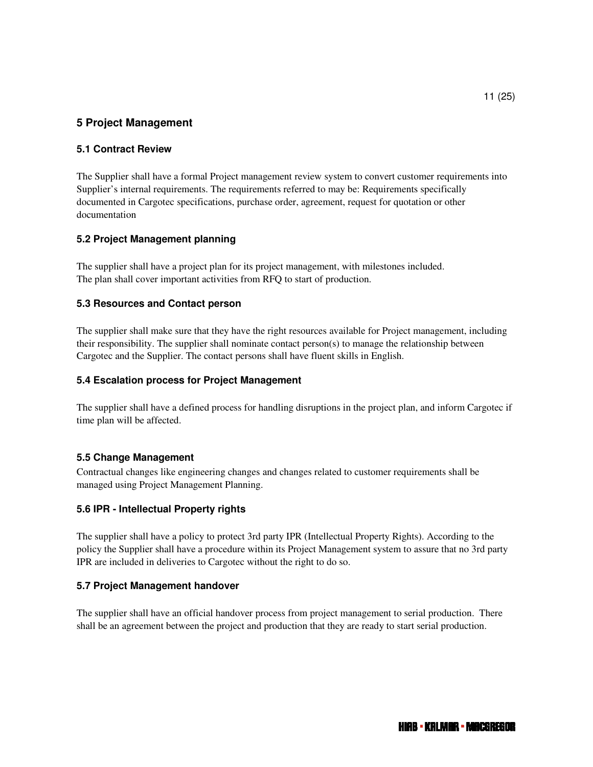## **5 Project Management**

#### **5.1 Contract Review**

The Supplier shall have a formal Project management review system to convert customer requirements into Supplier's internal requirements. The requirements referred to may be: Requirements specifically documented in Cargotec specifications, purchase order, agreement, request for quotation or other documentation

#### **5.2 Project Management planning**

The supplier shall have a project plan for its project management, with milestones included. The plan shall cover important activities from RFQ to start of production.

#### **5.3 Resources and Contact person**

The supplier shall make sure that they have the right resources available for Project management, including their responsibility. The supplier shall nominate contact person(s) to manage the relationship between Cargotec and the Supplier. The contact persons shall have fluent skills in English.

#### **5.4 Escalation process for Project Management**

The supplier shall have a defined process for handling disruptions in the project plan, and inform Cargotec if time plan will be affected.

#### **5.5 Change Management**

Contractual changes like engineering changes and changes related to customer requirements shall be managed using Project Management Planning.

#### **5.6 IPR - Intellectual Property rights**

The supplier shall have a policy to protect 3rd party IPR (Intellectual Property Rights). According to the policy the Supplier shall have a procedure within its Project Management system to assure that no 3rd party IPR are included in deliveries to Cargotec without the right to do so.

#### **5.7 Project Management handover**

The supplier shall have an official handover process from project management to serial production. There shall be an agreement between the project and production that they are ready to start serial production.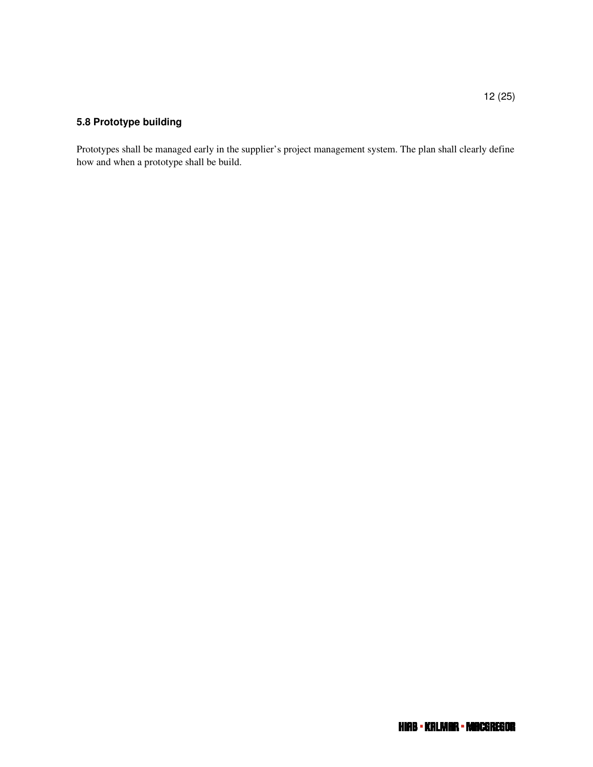#### $12 (25)$

## **5.8 Prototype building**

Prototypes shall be managed early in the supplier's project management system. The plan shall clearly define how and when a prototype shall be build.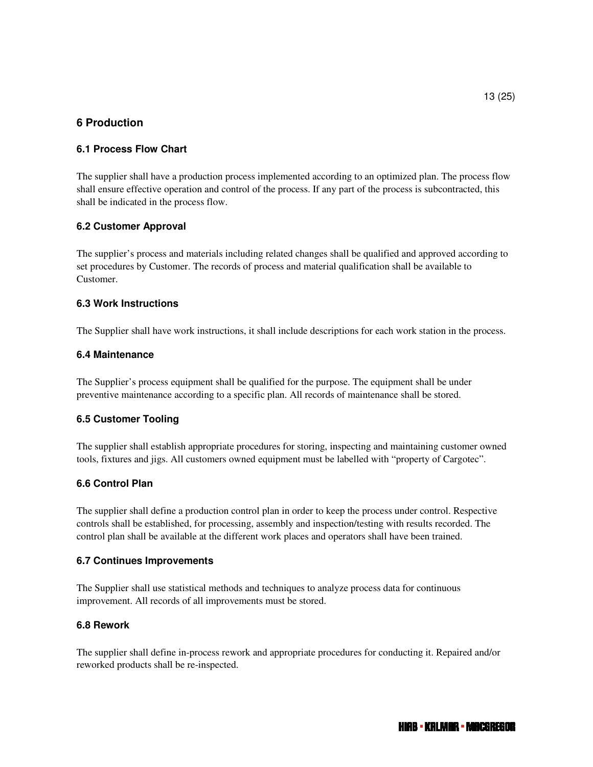## **6 Production**

#### **6.1 Process Flow Chart**

The supplier shall have a production process implemented according to an optimized plan. The process flow shall ensure effective operation and control of the process. If any part of the process is subcontracted, this shall be indicated in the process flow.

#### **6.2 Customer Approval**

The supplier's process and materials including related changes shall be qualified and approved according to set procedures by Customer. The records of process and material qualification shall be available to Customer.

#### **6.3 Work Instructions**

The Supplier shall have work instructions, it shall include descriptions for each work station in the process.

#### **6.4 Maintenance**

The Supplier's process equipment shall be qualified for the purpose. The equipment shall be under preventive maintenance according to a specific plan. All records of maintenance shall be stored.

#### **6.5 Customer Tooling**

The supplier shall establish appropriate procedures for storing, inspecting and maintaining customer owned tools, fixtures and jigs. All customers owned equipment must be labelled with "property of Cargotec".

#### **6.6 Control Plan**

The supplier shall define a production control plan in order to keep the process under control. Respective controls shall be established, for processing, assembly and inspection/testing with results recorded. The control plan shall be available at the different work places and operators shall have been trained.

#### **6.7 Continues Improvements**

The Supplier shall use statistical methods and techniques to analyze process data for continuous improvement. All records of all improvements must be stored.

#### **6.8 Rework**

The supplier shall define in-process rework and appropriate procedures for conducting it. Repaired and/or reworked products shall be re-inspected.

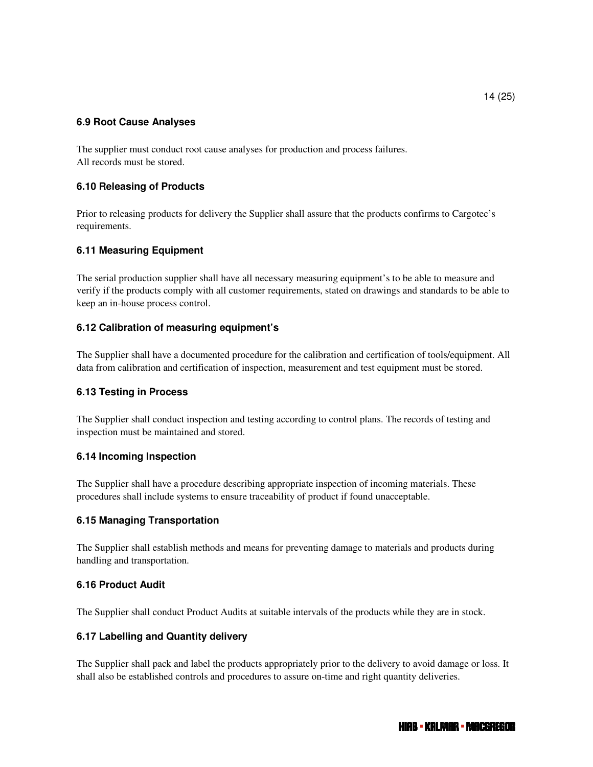#### **6.9 Root Cause Analyses**

The supplier must conduct root cause analyses for production and process failures. All records must be stored.

#### **6.10 Releasing of Products**

Prior to releasing products for delivery the Supplier shall assure that the products confirms to Cargotec's requirements.

#### **6.11 Measuring Equipment**

The serial production supplier shall have all necessary measuring equipment's to be able to measure and verify if the products comply with all customer requirements, stated on drawings and standards to be able to keep an in-house process control.

#### **6.12 Calibration of measuring equipment's**

The Supplier shall have a documented procedure for the calibration and certification of tools/equipment. All data from calibration and certification of inspection, measurement and test equipment must be stored.

#### **6.13 Testing in Process**

The Supplier shall conduct inspection and testing according to control plans. The records of testing and inspection must be maintained and stored.

#### **6.14 Incoming Inspection**

The Supplier shall have a procedure describing appropriate inspection of incoming materials. These procedures shall include systems to ensure traceability of product if found unacceptable.

#### **6.15 Managing Transportation**

The Supplier shall establish methods and means for preventing damage to materials and products during handling and transportation.

#### **6.16 Product Audit**

The Supplier shall conduct Product Audits at suitable intervals of the products while they are in stock.

#### **6.17 Labelling and Quantity delivery**

The Supplier shall pack and label the products appropriately prior to the delivery to avoid damage or loss. It shall also be established controls and procedures to assure on-time and right quantity deliveries.

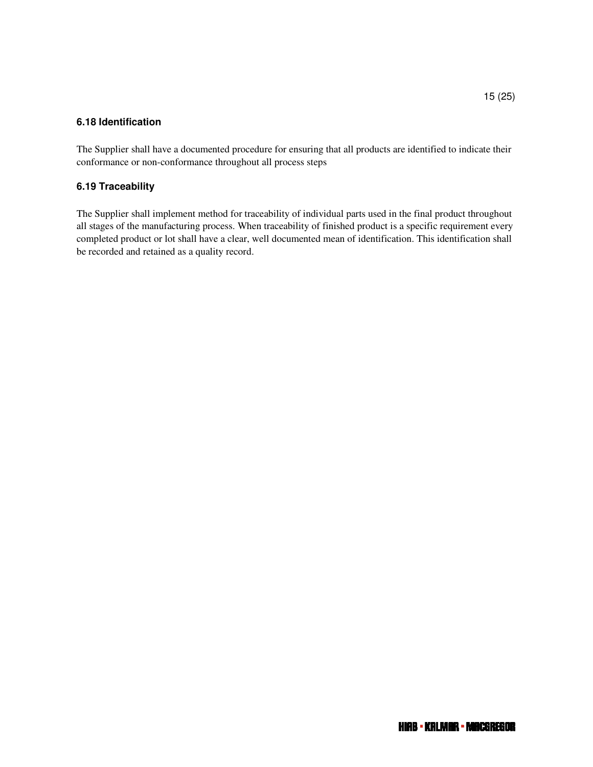#### **6.18 Identification**

The Supplier shall have a documented procedure for ensuring that all products are identified to indicate their conformance or non-conformance throughout all process steps

#### **6.19 Traceability**

The Supplier shall implement method for traceability of individual parts used in the final product throughout all stages of the manufacturing process. When traceability of finished product is a specific requirement every completed product or lot shall have a clear, well documented mean of identification. This identification shall be recorded and retained as a quality record.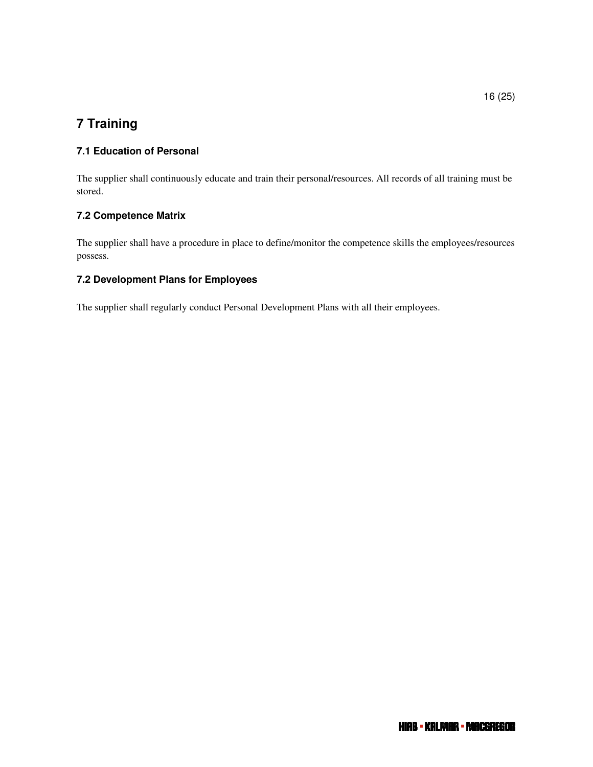# **7 Training**

## **7.1 Education of Personal**

The supplier shall continuously educate and train their personal/resources. All records of all training must be stored.

## **7.2 Competence Matrix**

The supplier shall have a procedure in place to define/monitor the competence skills the employees/resources possess.

## **7.2 Development Plans for Employees**

The supplier shall regularly conduct Personal Development Plans with all their employees.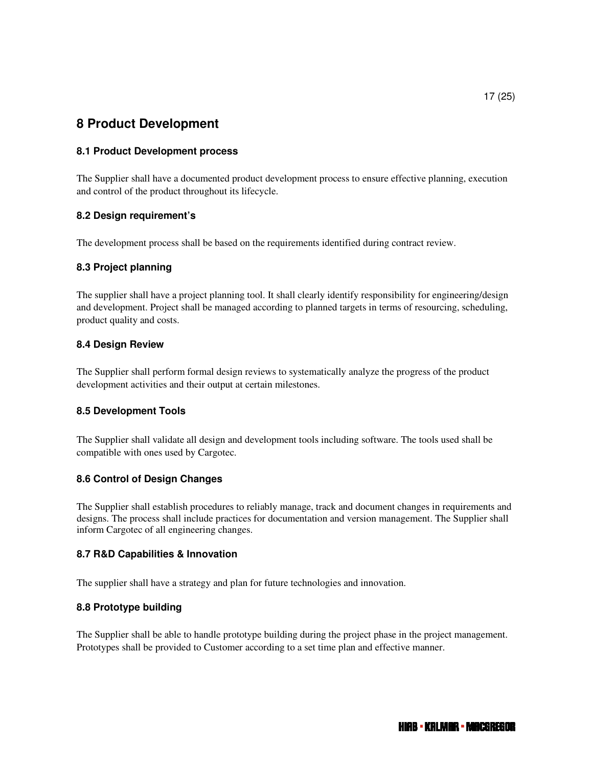## **8 Product Development**

#### **8.1 Product Development process**

The Supplier shall have a documented product development process to ensure effective planning, execution and control of the product throughout its lifecycle.

#### **8.2 Design requirement's**

The development process shall be based on the requirements identified during contract review.

#### **8.3 Project planning**

The supplier shall have a project planning tool. It shall clearly identify responsibility for engineering/design and development. Project shall be managed according to planned targets in terms of resourcing, scheduling, product quality and costs.

#### **8.4 Design Review**

The Supplier shall perform formal design reviews to systematically analyze the progress of the product development activities and their output at certain milestones.

#### **8.5 Development Tools**

The Supplier shall validate all design and development tools including software. The tools used shall be compatible with ones used by Cargotec.

#### **8.6 Control of Design Changes**

The Supplier shall establish procedures to reliably manage, track and document changes in requirements and designs. The process shall include practices for documentation and version management. The Supplier shall inform Cargotec of all engineering changes.

#### **8.7 R&D Capabilities & Innovation**

The supplier shall have a strategy and plan for future technologies and innovation.

#### **8.8 Prototype building**

The Supplier shall be able to handle prototype building during the project phase in the project management. Prototypes shall be provided to Customer according to a set time plan and effective manner.

HIAB - KALMAR - MACGREGOR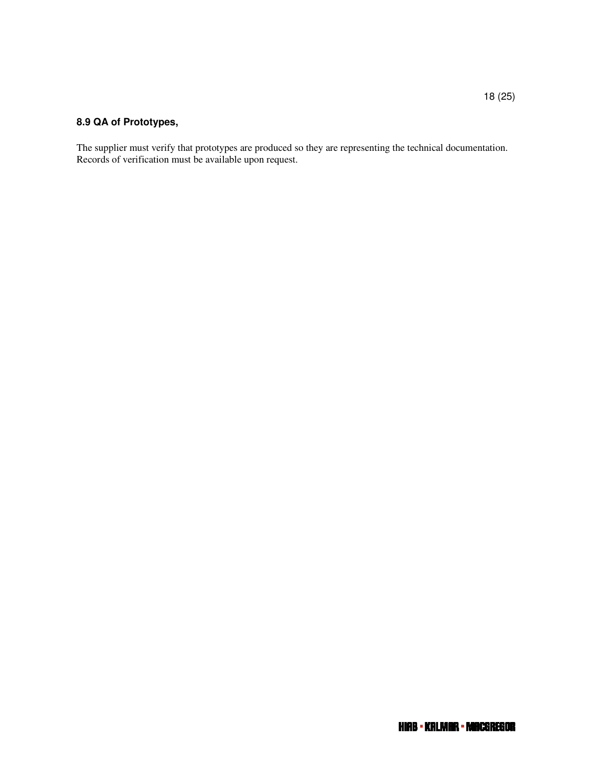## **8.9 QA of Prototypes,**

The supplier must verify that prototypes are produced so they are representing the technical documentation. Records of verification must be available upon request.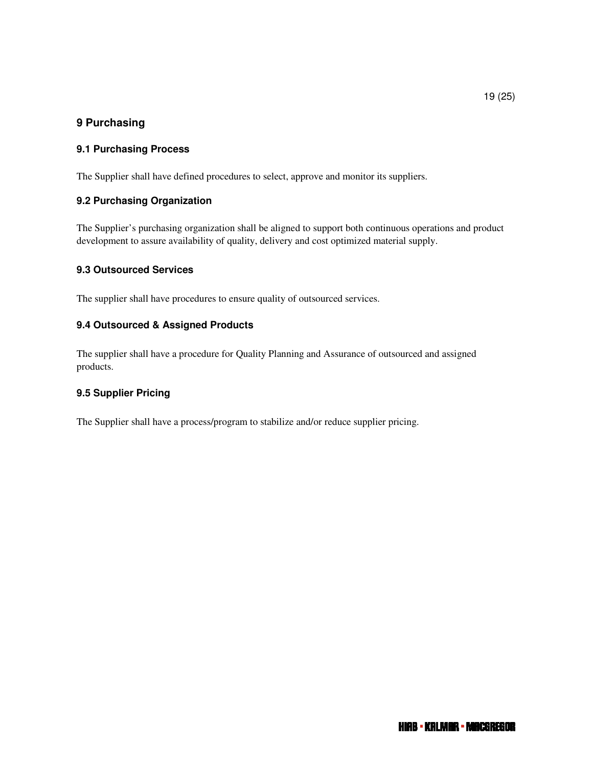## **9 Purchasing**

## **9.1 Purchasing Process**

The Supplier shall have defined procedures to select, approve and monitor its suppliers.

## **9.2 Purchasing Organization**

The Supplier's purchasing organization shall be aligned to support both continuous operations and product development to assure availability of quality, delivery and cost optimized material supply.

#### **9.3 Outsourced Services**

The supplier shall have procedures to ensure quality of outsourced services.

#### **9.4 Outsourced & Assigned Products**

The supplier shall have a procedure for Quality Planning and Assurance of outsourced and assigned products.

#### **9.5 Supplier Pricing**

The Supplier shall have a process/program to stabilize and/or reduce supplier pricing.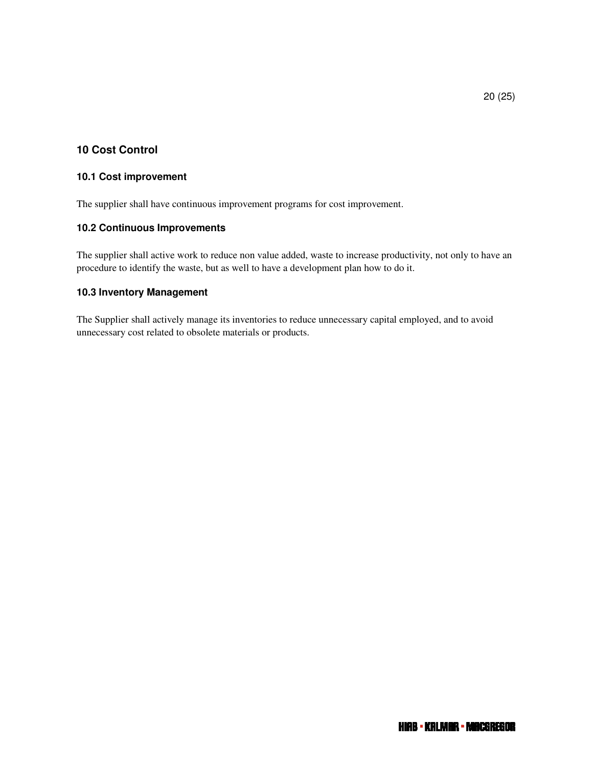## **10 Cost Control**

#### **10.1 Cost improvement**

The supplier shall have continuous improvement programs for cost improvement.

#### **10.2 Continuous Improvements**

The supplier shall active work to reduce non value added, waste to increase productivity, not only to have an procedure to identify the waste, but as well to have a development plan how to do it.

#### **10.3 Inventory Management**

The Supplier shall actively manage its inventories to reduce unnecessary capital employed, and to avoid unnecessary cost related to obsolete materials or products.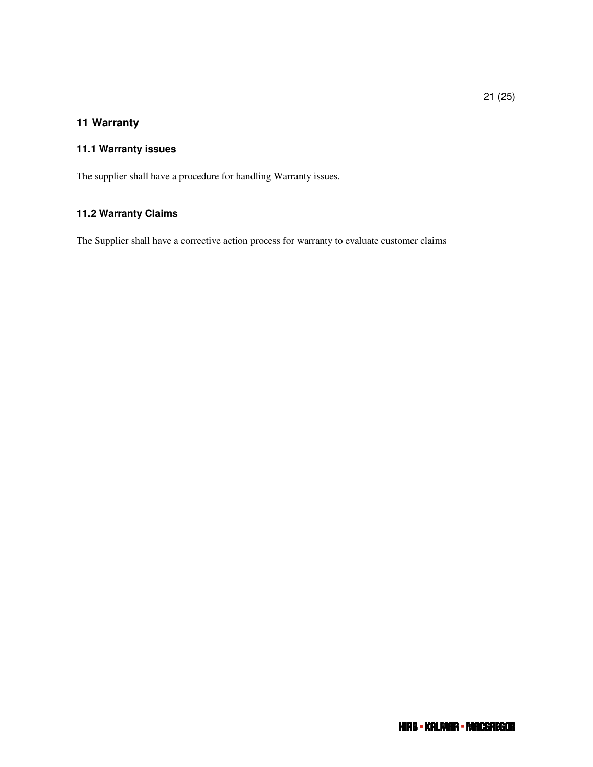## **11 Warranty**

## **11.1 Warranty issues**

The supplier shall have a procedure for handling Warranty issues.

## **11.2 Warranty Claims**

The Supplier shall have a corrective action process for warranty to evaluate customer claims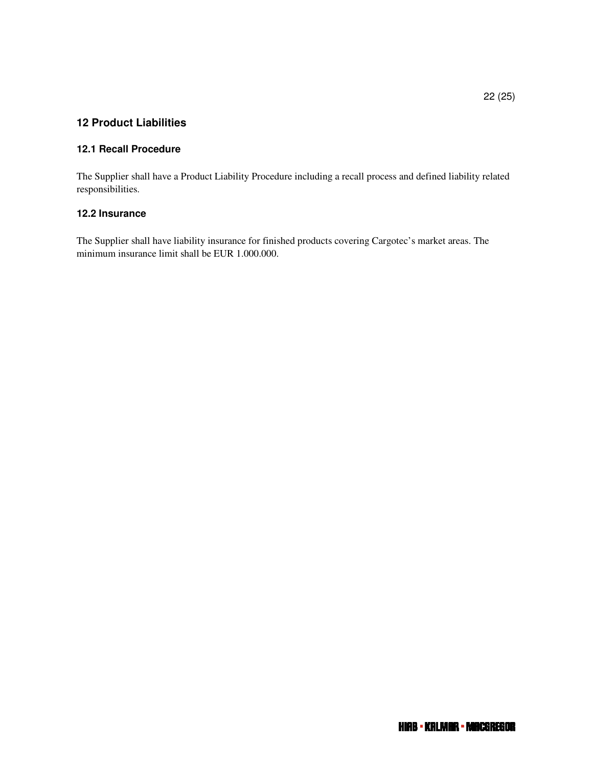## **12 Product Liabilities**

#### **12.1 Recall Procedure**

The Supplier shall have a Product Liability Procedure including a recall process and defined liability related responsibilities.

## **12.2 Insurance**

The Supplier shall have liability insurance for finished products covering Cargotec's market areas. The minimum insurance limit shall be EUR 1.000.000.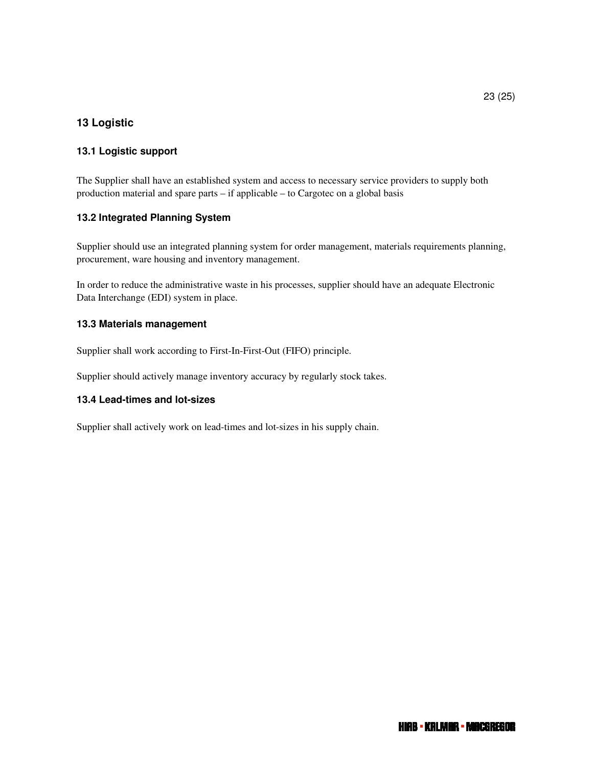## **13 Logistic**

## **13.1 Logistic support**

The Supplier shall have an established system and access to necessary service providers to supply both production material and spare parts – if applicable – to Cargotec on a global basis

#### **13.2 Integrated Planning System**

Supplier should use an integrated planning system for order management, materials requirements planning, procurement, ware housing and inventory management.

In order to reduce the administrative waste in his processes, supplier should have an adequate Electronic Data Interchange (EDI) system in place.

#### **13.3 Materials management**

Supplier shall work according to First-In-First-Out (FIFO) principle.

Supplier should actively manage inventory accuracy by regularly stock takes.

#### **13.4 Lead-times and lot-sizes**

Supplier shall actively work on lead-times and lot-sizes in his supply chain.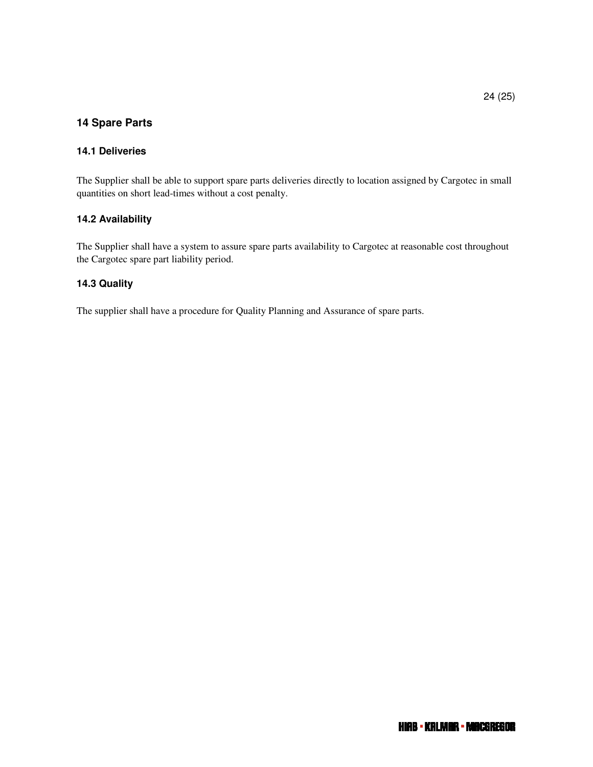## **14 Spare Parts**

#### **14.1 Deliveries**

The Supplier shall be able to support spare parts deliveries directly to location assigned by Cargotec in small quantities on short lead-times without a cost penalty.

#### **14.2 Availability**

The Supplier shall have a system to assure spare parts availability to Cargotec at reasonable cost throughout the Cargotec spare part liability period.

#### **14.3 Quality**

The supplier shall have a procedure for Quality Planning and Assurance of spare parts.